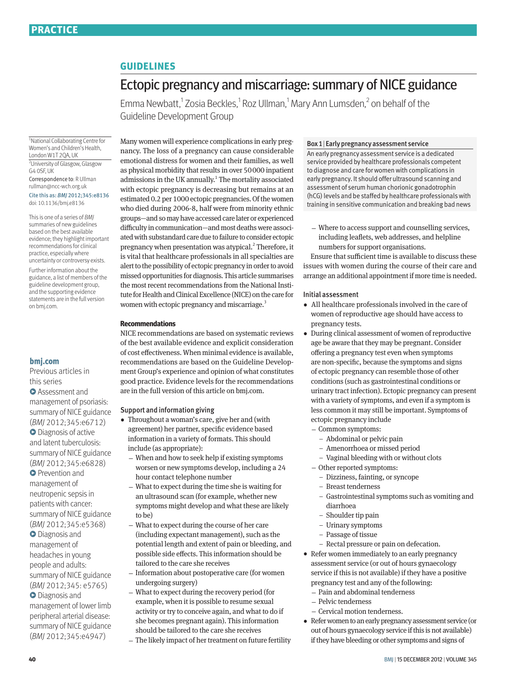### **GUIDELINES**

## Ectopic pregnancy and miscarriage: summary of NICE guidance

Emma Newbatt,<sup>1</sup> Zosia Beckles,<sup>1</sup> Roz Ullman,<sup>1</sup> Mary Ann Lumsden,<sup>2</sup> on behalf of the Guideline Development Group

1 National Collaborating Centre for Women's and Children's Health, London W1T 2QA, UK 2 University of Glasgow, Glasgow G4 0SF, UK Correspondence to: R Ullman rullman@ncc-wch.org.uk

#### Cite this as: *BMJ* 2012;345:e8136 doi: 10.1136/bmj.e8136

This is one of a series of *BMJ* summaries of new guidelines based on the best available evidence; they highlight important recommendations for clinical practice, especially where uncertainty or controversy exists. Further information about the guidance, a list of members of the guideline development group, and the supporting evidence statements are in the full version on bmj.com.

### **bmj.com**

Previous articles in this series

**O** Assessment and management of psoriasis: summary of NICE guidance (*BMJ* 2012;345:e6712)  $\bullet$  Diagnosis of active and latent tuberculosis: summary of NICE guidance (*BMJ* 2012;345:e6828) **O** Prevention and management of neutropenic sepsis in patients with cancer: summary of NICE guidance (*BMJ* 2012;345:e5368)  $\bullet$  Diagnosis and management of headaches in young people and adults: summary of NICE guidance (*BMJ* 2012;345: e5765)

 $\bullet$  Diagnosis and management of lower limb peripheral arterial disease: summary of NICE guidance (*BMJ* 2012;345:e4947)

Many women will experience complications in early pregnancy. The loss of a pregnancy can cause considerable emotional distress for women and their families, as well as physical morbidity that results in over 50000 inpatient admissions in the UK annually.<sup>1</sup> The mortality associated with ectopic pregnancy is decreasing but remains at an estimated 0.2 per 1000 ectopic pregnancies. Of the women who died during 2006-8, half were from minority ethnic groups—and so may have accessed care later or experienced difficulty in communication—and most deaths were associated with substandard care due to failure to consider ectopic pregnancy when presentation was atypical.<sup>2</sup> Therefore, it is vital that healthcare professionals in all specialties are alert to the possibility of ectopic pregnancy in order to avoid missed opportunities for diagnosis. This article summarises the most recent recommendations from the National Institute for Health and Clinical Excellence (NICE) on the care for women with ectopic pregnancy and miscarriage.<sup>3</sup>

### **Recommendations**

NICE recommendations are based on systematic reviews of the best available evidence and explicit consideration of cost effectiveness. When minimal evidence is available, recommendations are based on the Guideline Development Group's experience and opinion of what constitutes good practice. Evidence levels for the recommendations are in the full version of this article on bmj.com.

Support and information giving

- Throughout a woman's care, give her and (with agreement) her partner, specific evidence based information in a variety of formats. This should include (as appropriate):
	- When and how to seek help if existing symptoms worsen or new symptoms develop, including a 24 hour contact telephone number
	- What to expect during the time she is waiting for an ultrasound scan (for example, whether new symptoms might develop and what these are likely to be)
	- What to expect during the course of her care (including expectant management), such as the potential length and extent of pain or bleeding, and possible side effects. This information should be tailored to the care she receives
	- Information about postoperative care (for women undergoing surgery)
	- What to expect during the recovery period (for example, when it is possible to resume sexual activity or try to conceive again, and what to do if she becomes pregnant again). This information should be tailored to the care she receives
	- The likely impact of her treatment on future fertility

### Box 1| Early pregnancy assessment service

An early pregnancy assessment service is a dedicated service provided by healthcare professionals competent to diagnose and care for women with complications in early pregnancy. It should offer ultrasound scanning and assessment of serum human chorionic gonadotrophin (hCG) levels and be staffed by healthcare professionals with training in sensitive communication and breaking bad news

– Where to access support and counselling services, including leaflets, web addresses, and helpline numbers for support organisations.

Ensure that sufficient time is available to discuss these issues with women during the course of their care and arrange an additional appointment if more time is needed.

### Initial assessment

- •   All healthcare professionals involved in the care of women of reproductive age should have access to pregnancy tests.
- •   During clinical assessment of women of reproductive age be aware that they may be pregnant. Consider offering a pregnancy test even when symptoms are non-specific, because the symptoms and signs of ectopic pregnancy can resemble those of other conditions (such as gastrointestinal conditions or urinary tract infection). Ectopic pregnancy can present with a variety of symptoms, and even if a symptom is less common it may still be important. Symptoms of ectopic pregnancy include
	- Common symptoms:
		- Abdominal or pelvic pain
		- Amenorrhoea or missed period
		- Vaginal bleeding with or without clots
	- Other reported symptoms:
		- Dizziness, fainting, or syncope
		- Breast tenderness
		- Gastrointestinal symptoms such as vomiting and diarrhoea
		- Shoulder tip pain
		- Urinary symptoms
		- Passage of tissue
		- Rectal pressure or pain on defecation.
- Refer women immediately to an early pregnancy assessment service (or out of hours gynaecology service if this is not available) if they have a positive pregnancy test and any of the following:
	- Pain and abdominal tenderness
	- Pelvic tenderness
	- Cervical motion tenderness.
- •   Refer women to an early pregnancy assessment service (or out of hours gynaecology service if this is not available) if they have bleeding or other symptoms and signs of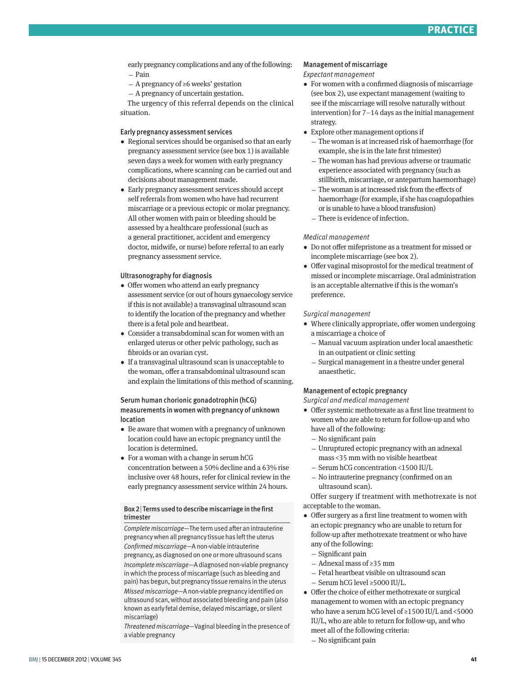early pregnancy complications and any of the following: – Pain

- A pregnancy of ≥6 weeks' gestation
- A pregnancy of uncertain gestation.

The urgency of this referral depends on the clinical situation.

### Early pregnancy assessment services

- Regional services should be organised so that an early pregnancy assessment service (see box 1) is available seven days a week for women with early pregnancy complications, where scanning can be carried out and decisions about management made.
- •   Early pregnancy assessment services should accept self referrals from women who have had recurrent miscarriage or a previous ectopic or molar pregnancy. All other women with pain or bleeding should be assessed by a healthcare professional (such as a general practitioner, accident and emergency doctor, midwife, or nurse) before referral to an early pregnancy assessment service.

### Ultrasonography for diagnosis

- Offer women who attend an early pregnancy assessment service (or out of hours gynaecology service if this is not available) a transvaginal ultrasound scan to identify the location of the pregnancy and whether there is a fetal pole and heartbeat.
- •   Consider a transabdominal scan for women with an enlarged uterus or other pelvic pathology, such as fibroids or an ovarian cyst.
- If a transvaginal ultrasound scan is unacceptable to the woman, offer a transabdominal ultrasound scan and explain the limitations of this method of scanning.

### Serum human chorionic gonadotrophin (hCG) measurements in women with pregnancy of unknown location

- Be aware that women with a pregnancy of unknown location could have an ectopic pregnancy until the location is determined.
- For a woman with a change in serum hCG concentration between a 50% decline and a 63% rise inclusive over 48 hours, refer for clinical review in the early pregnancy assessment service within 24 hours.

### Box 2| Terms used to describe miscarriage in the first trimester

*Complete miscarriage—*The term used after an intrauterine pregnancy when all pregnancy tissue has left the uterus *Confirmed miscarriage—*A non-viable intrauterine pregnancy, as diagnosed on one or more ultrasound scans *Incomplete miscarriage—*A diagnosed non-viable pregnancy in which the process of miscarriage (such as bleeding and pain) has begun, but pregnancy tissue remains in the uterus *Missed miscarriage—*A non-viable pregnancy identified on ultrasound scan, without associated bleeding and pain (also known as early fetal demise, delayed miscarriage, or silent miscarriage)

*Threatened miscarriage—*Vaginal bleeding in the presence of a viable pregnancy

### Management of miscarriage

*Expectant management*

- For women with a confirmed diagnosis of miscarriage (see box 2), use expectant management (waiting to see if the miscarriage will resolve naturally without intervention) for 7–14 days as the initial management strategy.
- Explore other management options if
	- The woman is at increased risk of haemorrhage (for example, she is in the late first trimester)
	- The woman has had previous adverse or traumatic experience associated with pregnancy (such as stillbirth, miscarriage, or antepartum haemorrhage)
	- The woman is at increased risk from the effects of haemorrhage (for example, if she has coagulopathies or is unable to have a blood transfusion)
	- There is evidence of infection.

### *Medical management*

- •   Do not offer mifepristone as a treatment for missed or incomplete miscarriage (see box 2).
- •   Offer vaginal misoprostol for the medical treatment of missed or incomplete miscarriage. Oral administration is an acceptable alternative if this is the woman's preference.

### *Surgical management*

- Where clinically appropriate, offer women undergoing a miscarriage a choice of
	- Manual vacuum aspiration under local anaesthetic in an outpatient or clinic setting
	- Surgical management in a theatre under general anaesthetic.

### Management of ectopic pregnancy

*Surgical and medical management*

- •   Offer systemic methotrexate as a first line treatment to women who are able to return for follow-up and who have all of the following:
	- No significant pain
	- Unruptured ectopic pregnancy with an adnexal mass <35 mm with no visible heartbeat
	- Serum hCG concentration <1500 IU/L
	- No intrauterine pregnancy (confirmed on an ultrasound scan).

Offer surgery if treatment with methotrexate is not acceptable to the woman.

- •   Offer surgery as a first line treatment to women with an ectopic pregnancy who are unable to return for follow-up after methotrexate treatment or who have any of the following:
	- Significant pain
	- Adnexal mass of ≥35 mm
	- Fetal heartbeat visible on ultrasound scan – Serum hCG level ≥5000 IU/L.
- •   Offer the choice of either methotrexate or surgical management to women with an ectopic pregnancy who have a serum hCG level of ≥1500 IU/L and <5000 IU/L, who are able to return for follow-up, and who meet all of the following criteria: – No significant pain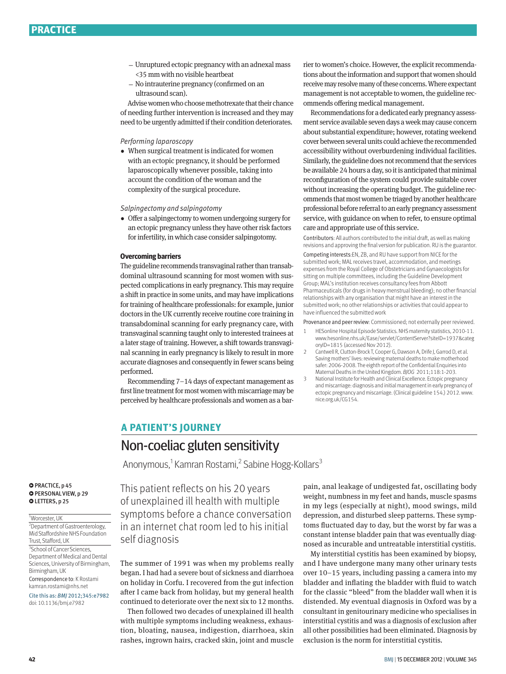- Unruptured ectopic pregnancy with an adnexal mass <35 mm with no visible heartbeat
- No intrauterine pregnancy (confirmed on an ultrasound scan).

Advise women who choose methotrexate that their chance of needing further intervention is increased and they may need to be urgently admitted if their condition deteriorates.

### *Performing laparoscopy*

• When surgical treatment is indicated for women with an ectopic pregnancy, it should be performed laparoscopically whenever possible, taking into account the condition of the woman and the complexity of the surgical procedure.

### *Salpingectomy and salpingotomy*

•   Offer a salpingectomy to women undergoing surgery for an ectopic pregnancy unless they have other risk factors for infertility, in which case consider salpingotomy.

### **Overcoming barriers**

The guideline recommends transvaginal rather than transabdominal ultrasound scanning for most women with suspected complications in early pregnancy. This may require a shift in practice in some units, and may have implications for training of healthcare professionals: for example, junior doctors in the UK currently receive routine core training in transabdominal scanning for early pregnancy care, with transvaginal scanning taught only to interested trainees at a later stage of training. However, a shift towards transvaginal scanning in early pregnancy is likely to result in more accurate diagnoses and consequently in fewer scans being performed.

Recommending 7–14 days of expectant management as first line treatment for most women with miscarriage may be perceived by healthcare professionals and women as a barrier to women's choice. However, the explicit recommendations about the information and support that women should receive may resolve many of these concerns. Where expectant management is not acceptable to women, the guideline recommends offering medical management.

Recommendations for a dedicated early pregnancy assessment service available seven days a week may cause concern about substantial expenditure; however, rotating weekend cover between several units could achieve the recommended accessibility without overburdening individual facilities. Similarly, the guideline does not recommend that the services be available 24 hours a day, so it is anticipated that minimal reconfiguration of the system could provide suitable cover without increasing the operating budget. The guideline recommends that most women be triaged by another healthcare professional before referral to an early pregnancy assessment service, with guidance on when to refer, to ensure optimal care and appropriate use of this service.

Contributors: All authors contributed to the initial draft, as well as making revisions and approving the final version for publication. RU is the guarantor.

Competing interests:EN, ZB, and RU have support from NICE for the submitted work; MAL receives travel, accommodation, and meetings expenses from the Royal College of Obstetricians and Gynaecologists for sitting on multiple committees, including the Guideline Development Group; MAL's institution receives consultancy fees from Abbott Pharmaceuticals (for drugs in heavy menstrual bleeding); no other financial relationships with any organisation that might have an interest in the submitted work; no other relationships or activities that could appear to have influenced the submitted work

Provenance and peer review: Commissioned; not externally peer reviewed.

- 1 HESonline Hospital Episode Statistics. NHS maternity statistics, 2010-11. www.hesonline.nhs.uk/Ease/servlet/ContentServer?siteID=1937&categ oryID=1815 (accessed Nov 2012).
- 2 Cantwell R, Clutton-Brock T, Cooper G, Dawson A, Drife J, Garrod D, et al. Saving mothers' lives: reviewing maternal deaths to make motherhood safer: 2006-2008. The eighth report of the Confidential Enquiries into Maternal Deaths in the United Kingdom. *BJOG* 2011;118:1-203.
- 3 National Institute for Health and Clinical Excellence. Ectopic pregnancy and miscarriage: diagnosis and initial management in early pregnancy of ectopic pregnancy and miscarriage. (Clinical guideline 154.) 2012. www. nice.org.uk/CG154.

### **A PATIENT'S JOURNEY**

## Non-coeliac gluten sensitivity

Anonymous,<sup>1</sup> Kamran Rostami,<sup>2</sup> Sabine Hogg-Kollars<sup>3</sup>

**O** PRACTICE, p 45 **O** PERSONAL VIEW, p 29 OLETTERS, p 25

1 Worcester, UK

2 Department of Gastroenterology, Mid Staffordshire NHS Foundation Trust, Stafford, UK

<sup>3</sup> School of Cancer Sciences, Department of Medical and Dental Sciences, University of Birmingham, Birmingham, UK Correspondence to: K Rostami kamran.rostami@nhs.net

Cite this as: *BMJ* 2012;345:e7982

doi: 10.1136/bmj.e7982

This patient reflects on his 20 years of unexplained ill health with multiple symptoms before a chance conversation in an internet chat room led to his initial self diagnosis

The summer of 1991 was when my problems really began. I had had a severe bout of sickness and diarrhoea on holiday in Corfu. I recovered from the gut infection after I came back from holiday, but my general health continued to deteriorate over the next six to 12 months.

Then followed two decades of unexplained ill health with multiple symptoms including weakness, exhaustion, bloating, nausea, indigestion, diarrhoea, skin rashes, ingrown hairs, cracked skin, joint and muscle pain, anal leakage of undigested fat, oscillating body weight, numbness in my feet and hands, muscle spasms in my legs (especially at night), mood swings, mild depression, and disturbed sleep patterns. These symptoms fluctuated day to day, but the worst by far was a constant intense bladder pain that was eventually diagnosed as incurable and untreatable interstitial cystitis.

My interstitial cystitis has been examined by biopsy, and I have undergone many many other urinary tests over 10–15 years, including passing a camera into my bladder and inflating the bladder with fluid to watch for the classic "bleed" from the bladder wall when it is distended. My eventual diagnosis in Oxford was by a consultant in genitourinary medicine who specialises in interstitial cystitis and was a diagnosis of exclusion after all other possibilities had been eliminated. Diagnosis by exclusion is the norm for interstitial cystitis.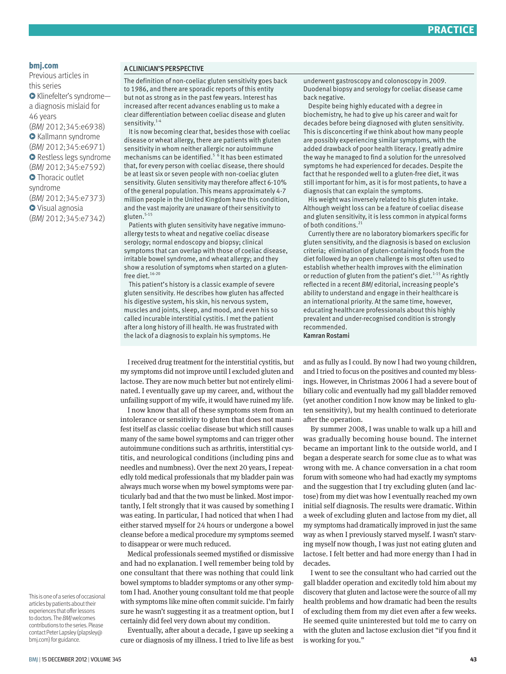### **bmj.com**

Previous articles in this series  $\bullet$  Klinefelter's syndromea diagnosis mislaid for 46 years (*BMJ* 2012;345:e6938) **O** Kallmann syndrome (*BMJ* 2012;345:e6971) **O** Restless legs syndrome (*BMJ* 2012;345:e7592) **• Thoracic outlet** syndrome (*BMJ* 2012;345:e7373)  $\bullet$  Visual agnosia (*BMJ* 2012;345:e7342)

### A CLINICIAN'S PERSPECTIVE

The definition of non-coeliac gluten sensitivity goes back to 1986, and there are sporadic reports of this entity but not as strong as in the past few years. Interest has increased after recent advances enabling us to make a clear differentiation between coeliac disease and gluten sensitivity.<sup>1-</sup>

It is now becoming clear that, besides those with coeliac disease or wheat allergy, there are patients with gluten sensitivity in whom neither allergic nor autoimmune mechanisms can be identified.<sup>5 6</sup> It has been estimated that, for every person with coeliac disease, there should be at least six or seven people with non-coeliac gluten sensitivity. Gluten sensitivity may therefore affect 6-10% of the general population. This means approximately 4-7 million people in the United Kingdom have this condition, and the vast majority are unaware of their sensitivity to gluten.<sup>5-15</sup>

Patients with gluten sensitivity have negative immunoallergy tests to wheat and negative coeliac disease serology; normal endoscopy and biopsy; clinical symptoms that can overlap with those of coeliac disease, irritable bowel syndrome, and wheat allergy; and they show a resolution of symptoms when started on a glutenfree diet.<sup>16-20</sup>

This patient's history is a classic example of severe gluten sensitivity. He describes how gluten has affected his digestive system, his skin, his nervous system, muscles and joints, sleep, and mood, and even his so called incurable interstitial cystitis. I met the patient after a long history of ill health. He was frustrated with the lack of a diagnosis to explain his symptoms. He

underwent gastroscopy and colonoscopy in 2009. Duodenal biopsy and serology for coeliac disease came back negative.

Despite being highly educated with a degree in biochemistry, he had to give up his career and wait for decades before being diagnosed with gluten sensitivity. This is disconcerting if we think about how many people are possibly experiencing similar symptoms, with the added drawback of poor health literacy. I greatly admire the way he managed to find a solution for the unresolved symptoms he had experienced for decades. Despite the fact that he responded well to a gluten-free diet, it was still important for him, as it is for most patients, to have a diagnosis that can explain the symptoms.

His weight was inversely related to his gluten intake. Although weight loss can be a feature of coeliac disease and gluten sensitivity, it is less common in atypical forms of both conditions.<sup>2</sup>

Currently there are no laboratory biomarkers specific for gluten sensitivity, and the diagnosis is based on exclusion criteria; elimination of gluten-containing foods from the diet followed by an open challenge is most often used to establish whether health improves with the elimination or reduction of gluten from the patient's diet. $1-15$  As rightly reflected in a recent *BMJ* editorial, increasing people's ability to understand and engage in their healthcare is an international priority. At the same time, however, educating healthcare professionals about this highly prevalent and under-recognised condition is strongly recommended. Kamran Rostami

I received drug treatment for the interstitial cystitis, but my symptoms did not improve until I excluded gluten and lactose. They are now much better but not entirely eliminated. I eventually gave up my career, and, without the unfailing support of my wife, it would have ruined my life.

I now know that all of these symptoms stem from an intolerance or sensitivity to gluten that does not manifest itself as classic coeliac disease but which still causes many of the same bowel symptoms and can trigger other autoimmune conditions such as arthritis, interstitial cystitis, and neurological conditions (including pins and needles and numbness). Over the next 20 years, I repeatedly told medical professionals that my bladder pain was always much worse when my bowel symptoms were particularly bad and that the two must be linked. Most importantly, I felt strongly that it was caused by something I was eating. In particular, I had noticed that when I had either starved myself for 24 hours or undergone a bowel cleanse before a medical procedure my symptoms seemed to disappear or were much reduced.

Medical professionals seemed mystified or dismissive and had no explanation. I well remember being told by one consultant that there was nothing that could link bowel symptoms to bladder symptoms or any other symptom I had. Another young consultant told me that people with symptoms like mine often commit suicide. I'm fairly sure he wasn't suggesting it as a treatment option, but I certainly did feel very down about my condition.

Eventually, after about a decade, I gave up seeking a cure or diagnosis of my illness. I tried to live life as best and as fully as I could. By now I had two young children, and I tried to focus on the positives and counted my blessings. However, in Christmas 2006 I had a severe bout of biliary colic and eventually had my gall bladder removed (yet another condition I now know may be linked to gluten sensitivity), but my health continued to deteriorate after the operation.

By summer 2008, I was unable to walk up a hill and was gradually becoming house bound. The internet became an important link to the outside world, and I began a desperate search for some clue as to what was wrong with me. A chance conversation in a chat room forum with someone who had had exactly my symptoms and the suggestion that I try excluding gluten (and lactose) from my diet was how I eventually reached my own initial self diagnosis. The results were dramatic. Within a week of excluding gluten and lactose from my diet, all my symptoms had dramatically improved in just the same way as when I previously starved myself. I wasn't starving myself now though, I was just not eating gluten and lactose. I felt better and had more energy than I had in decades.

I went to see the consultant who had carried out the gall bladder operation and excitedly told him about my discovery that gluten and lactose were the source of all my health problems and how dramatic had been the results of excluding them from my diet even after a few weeks. He seemed quite uninterested but told me to carry on with the gluten and lactose exclusion diet "if you find it is working for you."

This is one of a series of occasional articles by patients about their experiences that offer lessons to doctors. The *BMJ* welcomes contributions to the series. Please contact Peter Lapsley (plapsley@ bmj.com) for guidance.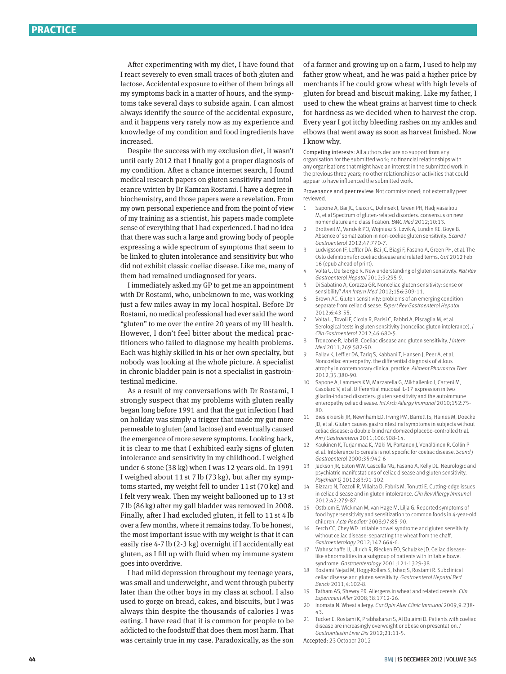After experimenting with my diet, I have found that I react severely to even small traces of both gluten and lactose. Accidental exposure to either of them brings all my symptoms back in a matter of hours, and the symptoms take several days to subside again. I can almost always identify the source of the accidental exposure, and it happens very rarely now as my experience and knowledge of my condition and food ingredients have increased.

Despite the success with my exclusion diet, it wasn't until early 2012 that I finally got a proper diagnosis of my condition. After a chance internet search, I found medical research papers on gluten sensitivity and intolerance written by Dr Kamran Rostami. I have a degree in biochemistry, and those papers were a revelation. From my own personal experience and from the point of view of my training as a scientist, his papers made complete sense of everything that I had experienced. I had no idea that there was such a large and growing body of people expressing a wide spectrum of symptoms that seem to be linked to gluten intolerance and sensitivity but who did not exhibit classic coeliac disease. Like me, many of them had remained undiagnosed for years.

I immediately asked my GP to get me an appointment with Dr Rostami, who, unbeknown to me, was working just a few miles away in my local hospital. Before Dr Rostami, no medical professional had ever said the word "gluten" to me over the entire 20 years of my ill health. However, I don't feel bitter about the medical practitioners who failed to diagnose my health problems. Each was highly skilled in his or her own specialty, but nobody was looking at the whole picture. A specialist in chronic bladder pain is not a specialist in gastrointestinal medicine.

As a result of my conversations with Dr Rostami, I strongly suspect that my problems with gluten really began long before 1991 and that the gut infection I had on holiday was simply a trigger that made my gut more permeable to gluten (and lactose) and eventually caused the emergence of more severe symptoms. Looking back, it is clear to me that I exhibited early signs of gluten intolerance and sensitivity in my childhood. I weighed under 6 stone (38 kg) when I was 12 years old. In 1991 I weighed about 11 st 7 lb (73 kg), but after my symptoms started, my weight fell to under 11st (70 kg) and I felt very weak. Then my weight ballooned up to 13 st 7 lb (86 kg) after my gall bladder was removed in 2008. Finally, after I had excluded gluten, it fell to 11 st 4 lb over a few months, where it remains today. To be honest, the most important issue with my weight is that it can easily rise 4-7 lb (2-3 kg) overnight if I accidentally eat gluten, as I fill up with fluid when my immune system goes into overdrive.

I had mild depression throughout my teenage years, was small and underweight, and went through puberty later than the other boys in my class at school. I also used to gorge on bread, cakes, and biscuits, but I was always thin despite the thousands of calories I was eating. I have read that it is common for people to be addicted to the foodstuff that does them most harm. That was certainly true in my case. Paradoxically, as the son of a farmer and growing up on a farm, I used to help my father grow wheat, and he was paid a higher price by merchants if he could grow wheat with high levels of gluten for bread and biscuit making. Like my father, I used to chew the wheat grains at harvest time to check for hardness as we decided when to harvest the crop. Every year I got itchy bleeding rashes on my ankles and elbows that went away as soon as harvest finished. Now I know why.

Competing interests: All authors declare no support from any organisation for the submitted work; no financial relationships with any organisations that might have an interest in the submitted work in the previous three years; no other relationships or activities that could appear to have influenced the submitted work.

Provenance and peer review: Not commissioned; not externally peer reviewed.

- 1 Sapone A, Bai JC, Ciacci C, Dolinsek J, Green PH, Hadjivassiliou M, et al Spectrum of gluten-related disorders: consensus on new nomenclature and classification. *BMC Med* 2012;10:13.
- 2 Brottveit M, Vandvik PO, Wojniusz S, Løvik A, Lundin KE, Boye B. Absence of somatization in non-coeliac gluten sensitivity. *Scand J Gastroenterol* 2012;47:770-7.
- Ludvigsson JF, Leffler DA, Bai JC, Biagi F, Fasano A, Green PH, et al. The Oslo definitions for coeliac disease and related terms. *Gut* 2012 Feb 16 (epub ahead of print).
- 4 Volta U, De Giorgio R. New understanding of gluten sensitivity. *Nat Rev Gastroenterol Hepatol* 2012;9:295-9.
- 5 Di Sabatino A, Corazza GR. Nonceliac gluten sensitivity: sense or sensibility? *Ann Intern Med* 2012;156:309-11.
- 6 Brown AC. Gluten sensitivity: problems of an emerging condition separate from celiac disease. *Expert Rev Gastroenterol Hepatol* 2012;6:43-55.
- 7 Volta U, Tovoli F, Cicola R, Parisi C, Fabbri A, Piscaglia M, et al. Serological tests in gluten sensitivity (nonceliac gluten intolerance). *J Clin Gastroenterol* 2012;46:680-5.
- 8 Troncone R, Jabri B. Coeliac disease and gluten sensitivity. *J Intern Med* 2011;269:582-90.
- 9 Pallav K, Leffler DA, Tariq S, Kabbani T, Hansen J, Peer A, et al. Noncoeliac enteropathy: the differential diagnosis of villous atrophy in contemporary clinical practice. *Aliment Pharmacol Ther* 2012;35:380-90.
- 10 Sapone A, Lammers KM, Mazzarella G, Mikhailenko I, Cartenì M, Casolaro V, et al. Differential mucosal IL-17 expression in two gliadin-induced disorders: gluten sensitivity and the autoimmune enteropathy celiac disease. *Int Arch Allergy Immunol* 2010;152:75- 80.
- 11 Biesiekierski JR, Newnham ED, Irving PM, Barrett JS, Haines M, Doecke JD, et al. Gluten causes gastrointestinal symptoms in subjects without celiac disease: a double-blind randomized placebo-controlled trial. *Am J Gastroenterol* 2011;106:508-14.
- 12 Kaukinen K, Turjanmaa K, Mäki M, Partanen J, Venäläinen R, Collin P et al. Intolerance to cereals is not specific for coeliac disease. *Scand J Gastroenterol* 2000;35:942-6
- 13 Jackson JR, Eaton WW, Cascella NG, Fasano A, Kelly DL. Neurologic and psychiatric manifestations of celiac disease and gluten sensitivity. *Psychiatr Q* 2012;83:91-102.
- 14 Bizzaro N, Tozzoli R, Villalta D, Fabris M, Tonutti E. Cutting-edge issues in celiac disease and in gluten intolerance. *Clin Rev Allergy Immunol* 2012;42:279-87.
- 15 Ostblom E, Wickman M, van Hage M, Lilja G. Reported symptoms of food hypersensitivity and sensitization to common foods in 4-year-old children. *Acta Paediatr* 2008;97:85-90.
- 16 Ferch CC, Chey WD. Irritable bowel syndrome and gluten sensitivity without celiac disease: separating the wheat from the chaff. *Gastroenterology* 2012;142:664-6.
- 17 Wahnschaffe U, Ullrich R, Riecken EO, Schulzke JD. Celiac diseaselike abnormalities in a subgroup of patients with irritable bowel syndrome. *Gastroenterology* 2001;121:1329-38.
- 18 Rostami Nejad M, Hogg-Kollars S, Ishaq S, Rostami R. Subclinical celiac disease and gluten sensitivity. *Gastroenterol Hepatol Bed Bench* 2011;4:102-8.
- 19 Tatham AS, Shewry PR. Allergens in wheat and related cereals. *Clin Experiment Aller* 2008;38:1712-26.
- 20 Inomata N. Wheat allergy. *Cur Opin Aller Clinic Immunol* 2009;9:238- 43.
- 21 Tucker E, Rostami K, Prabhakaran S, Al Dulaimi D. Patients with coeliac disease are increasingly overweight or obese on presentation. *J Gastrointestin Liver Dis* 2012;21:11-5.

Accepted: 23 October 2012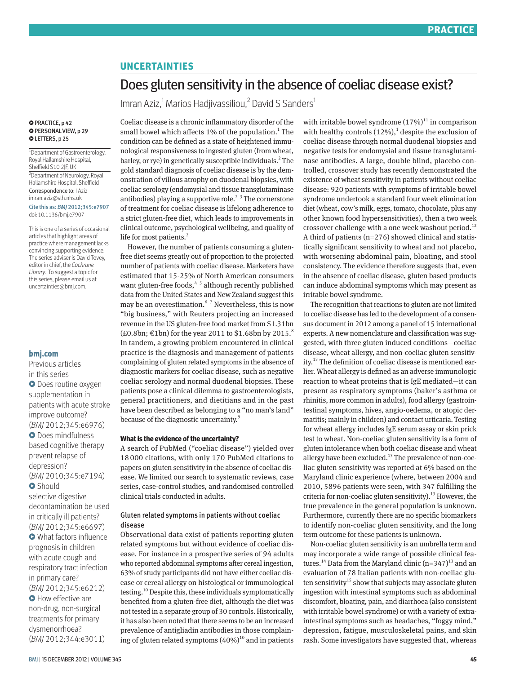## **UNCERTAINTIES**

## Does gluten sensitivity in the absence of coeliac disease exist?

Imran Aziz,<sup>1</sup> Marios Hadjivassiliou,<sup>2</sup> David S Sanders<sup>1</sup>

### O PRACTICE, p 42 O PERSONAL VIEW, p 29 O LETTERS, p 25

1 Department of Gastroenterology, Royal Hallamshire Hospital, Sheffield S10 2JF, UK 2 Department of Neurology, Royal Hallamshire Hospital, Sheffield Correspondence to: I Aziz imran.aziz@sth.nhs.uk

#### Cite this as: *BMJ* 2012;345:e7907 doi: 10.1136/bmj.e7907

This is one of a series of occasional articles that highlight areas of practice where management lacks convincing supporting evidence. The series adviser is David Tovey, editor in chief, the *Cochrane Library*. To suggest a topic for this series, please email us at uncertainties@bmj.com.

### **bmj.com**

Previous articles in this series **O** Does routine oxygen supplementation in patients with acute stroke improve outcome? (*BMJ* 2012;345:e6976) **O** Does mindfulness based cognitive therapy prevent relapse of depression? (*BMJ* 2010;345:e7194) **O** Should selective digestive decontamination be used in critically ill patients? (*BMJ* 2012;345:e6697) **O** What factors influence prognosis in children with acute cough and respiratory tract infection in primary care? (*BMJ* 2012;345:e6212) **•** How effective are non-drug, non-surgical treatments for primary dysmenorrhoea? (*BMJ* 2012;344:e3011)

Coeliac disease is a chronic inflammatory disorder of the small bowel which affects  $1\%$  of the population.<sup>1</sup> The condition can be defined as a state of heightened immunological responsiveness to ingested gluten (from wheat, barley, or rye) in genetically susceptible individuals.<sup>2</sup> The gold standard diagnosis of coeliac disease is by the demonstration of villous atrophy on duodenal biopsies, with coeliac serology (endomysial and tissue transglutaminase antibodies) playing a supportive role.<sup>2</sup>  $\frac{3}{3}$  The cornerstone of treatment for coeliac disease is lifelong adherence to a strict gluten-free diet, which leads to improvements in clinical outcome, psychological wellbeing, and quality of life for most patients.<sup>2</sup>

However, the number of patients consuming a glutenfree diet seems greatly out of proportion to the projected number of patients with coeliac disease. Marketers have estimated that 15-25% of North American consumers want gluten-free foods, $45$  although recently published data from the United States and New Zealand suggest this may be an overestimation.<sup>6</sup> <sup>7</sup> Nevertheless, this is now "big business," with Reuters projecting an increased revenue in the US gluten-free food market from \$1.31bn (£0.8bn; €1bn) for the year 2011 to \$1.68bn by 2015.<sup>8</sup> In tandem, a growing problem encountered in clinical practice is the diagnosis and management of patients complaining of gluten related symptoms in the absence of diagnostic markers for coeliac disease, such as negative coeliac serology and normal duodenal biopsies. These patients pose a clinical dilemma to gastroenterologists, general practitioners, and dietitians and in the past have been described as belonging to a "no man's land" because of the diagnostic uncertainty.<sup>9</sup>

### **What is the evidence of the uncertainty?**

A search of PubMed ("coeliac disease") yielded over 18 000 citations, with only 170 PubMed citations to papers on gluten sensitivity in the absence of coeliac disease. We limited our search to systematic reviews, case series, case-control studies, and randomised controlled clinical trials conducted in adults.

### Gluten related symptoms in patients without coeliac disease

Observational data exist of patients reporting gluten related symptoms but without evidence of coeliac disease. For instance in a prospective series of 94 adults who reported abdominal symptoms after cereal ingestion, 63% of study participants did not have either coeliac disease or cereal allergy on histological or immunological testing.10 Despite this, these individuals symptomatically benefited from a gluten-free diet, although the diet was not tested in a separate group of 30 controls. Historically, it has also been noted that there seems to be an increased prevalence of antigliadin antibodies in those complaining of gluten related symptoms  $(40\%)^{10}$  and in patients with irritable bowel syndrome  $(17\%)^{11}$  in comparison with healthy controls  $(12\%)$ ,<sup>1</sup> despite the exclusion of coeliac disease through normal duodenal biopsies and negative tests for endomysial and tissue transglutaminase antibodies. A large, double blind, placebo controlled, crossover study has recently demonstrated the existence of wheat sensitivity in patients without coeliac disease: 920 patients with symptoms of irritable bowel syndrome undertook a standard four week elimination diet (wheat, cow's milk, eggs, tomato, chocolate, plus any other known food hypersensitivities), then a two week crossover challenge with a one week washout period.<sup>12</sup> A third of patients (n=276) showed clinical and statistically significant sensitivity to wheat and not placebo, with worsening abdominal pain, bloating, and stool consistency. The evidence therefore suggests that, even in the absence of coeliac disease, gluten based products can induce abdominal symptoms which may present as irritable bowel syndrome.

The recognition that reactions to gluten are not limited to coeliac disease has led to the development of a consensus document in 2012 among a panel of 15 international experts. A new nomenclature and classification was suggested, with three gluten induced conditions—coeliac disease, wheat allergy, and non-coeliac gluten sensitivity.<sup>13</sup> The definition of coeliac disease is mentioned earlier. Wheat allergy is defined as an adverse immunologic reaction to wheat proteins that is IgE mediated—it can present as respiratory symptoms (baker's asthma or rhinitis, more common in adults), food allergy (gastrointestinal symptoms, hives, angio-oedema, or atopic dermatitis; mainly in children) and contact urticaria. Testing for wheat allergy includes IgE serum assay or skin prick test to wheat. Non-coeliac gluten sensitivity is a form of gluten intolerance when both coeliac disease and wheat allergy have been excluded.<sup>13</sup> The prevalence of non-coeliac gluten sensitivity was reported at 6% based on the Maryland clinic experience (where, between 2004 and 2010, 5896 patients were seen, with 347 fulfilling the criteria for non-coeliac gluten sensitivity).<sup>13</sup> However, the true prevalence in the general population is unknown. Furthermore, currently there are no specific biomarkers to identify non-coeliac gluten sensitivity, and the long term outcome for these patients is unknown.

Non-coeliac gluten sensitivity is an umbrella term and may incorporate a wide range of possible clinical features.<sup>14</sup> Data from the Maryland clinic  $(n=347)^{13}$  and an evaluation of 78 Italian patients with non-coeliac gluten sensitivity<sup>15</sup> show that subjects may associate gluten ingestion with intestinal symptoms such as abdominal discomfort, bloating, pain, and diarrhoea (also consistent with irritable bowel syndrome) or with a variety of extraintestinal symptoms such as headaches, "foggy mind," depression, fatigue, musculoskeletal pains, and skin rash. Some investigators have suggested that, whereas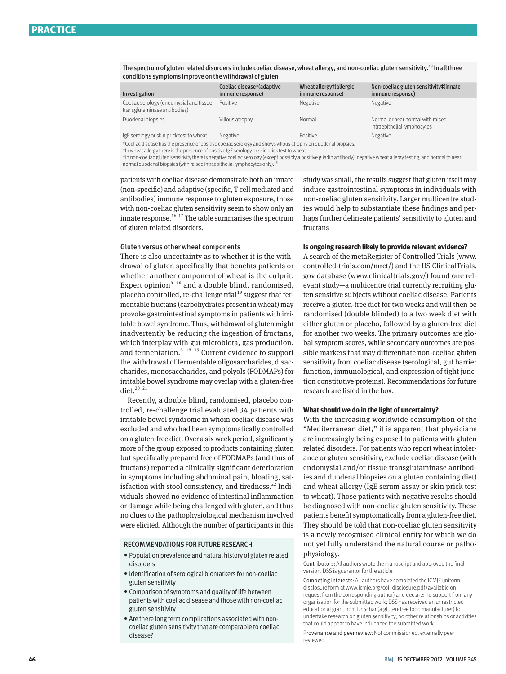The spectrum of gluten related disorders include coeliac disease, wheat allergy, and non-coeliac gluten sensitivity.<sup>13</sup> In all three conditions symptoms improve on the withdrawal of gluten

| Investigation                                                           | Coeliac disease*(adaptive<br>immune response) | Wheat allergyt (allergic<br>immune response) | Non-coeliac gluten sensitivity#(innate<br>immune response)       |
|-------------------------------------------------------------------------|-----------------------------------------------|----------------------------------------------|------------------------------------------------------------------|
| Coeliac serology (endomysial and tissue<br>transglutaminase antibodies) | Positive                                      | Negative                                     | Negative                                                         |
| Duodenal biopsies                                                       | Villous atrophy                               | Normal                                       | Normal or near normal with raised<br>intraepithelial lymphocytes |
| IgE serology or skin prick test to wheat                                | Negative                                      | Positive                                     | Negative                                                         |

\*Coeliac disease has the presence of positive coeliac serology and shows villous atrophy on duodenal biopsies.

†In wheat allergy there is the presence of positive IgE serology or skin prick test to wheat.

‡In non-coeliac gluten sensitivity there is negative coeliac serology (except possibly a positive gliadin antibody), negative wheat allergy testing, and normal to near normal duodenal biopsies (with raised intraepithelial lymphocytes only).15

patients with coeliac disease demonstrate both an innate (non-specific) and adaptive (specific, T cell mediated and antibodies) immune response to gluten exposure, those with non-coeliac gluten sensitivity seem to show only an innate response.<sup>16 17</sup> The table summarises the spectrum of gluten related disorders.

### Gluten versus other wheat components

There is also uncertainty as to whether it is the withdrawal of gluten specifically that benefits patients or whether another component of wheat is the culprit. Expert opinion<sup>8 18</sup> and a double blind, randomised, placebo controlled, re-challenge trial<sup>19</sup> suggest that fermentable fructans (carbohydrates present in wheat) may provoke gastrointestinal symptoms in patients with irritable bowel syndrome. Thus, withdrawal of gluten might inadvertently be reducing the ingestion of fructans, which interplay with gut microbiota, gas production, and fermentation.<sup>8 18</sup> <sup>19</sup> Current evidence to support the withdrawal of fermentable oligosaccharides, disaccharides, monosaccharides, and polyols (FODMAPs) for irritable bowel syndrome may overlap with a gluten-free diet. $20^{20}$ 

Recently, a double blind, randomised, placebo controlled, re-challenge trial evaluated 34 patients with irritable bowel syndrome in whom coeliac disease was excluded and who had been symptomatically controlled on a gluten-free diet. Over a six week period, significantly more of the group exposed to products containing gluten but specifically prepared free of FODMAPs (and thus of fructans) reported a clinically significant deterioration in symptoms including abdominal pain, bloating, satisfaction with stool consistency, and tiredness.<sup>22</sup> Individuals showed no evidence of intestinal inflammation or damage while being challenged with gluten, and thus no clues to the pathophysiological mechanism involved were elicited. Although the number of participants in this

### RECOMMENDATIONS FOR FUTURE RESEARCH

- Population prevalence and natural history of gluten related disorders
- Identification of serological biomarkers for non-coeliac gluten sensitivity
- Comparison of symptoms and quality of life between patients with coeliac disease and those with non-coeliac gluten sensitivity
- Are there long term complications associated with noncoeliac gluten sensitivity that are comparable to coeliac disease?

study was small, the results suggest that gluten itself may induce gastrointestinal symptoms in individuals with non-coeliac gluten sensitivity. Larger multicentre studies would help to substantiate these findings and perhaps further delineate patients' sensitivity to gluten and fructans

### **Is ongoing research likely to provide relevant evidence?**

A search of the metaRegister of Controlled Trials (www. controlled-trials.com/mrct/) and the US ClinicalTrials. gov database (www.clinicaltrials.gov/) found one relevant study—a multicentre trial currently recruiting gluten sensitive subjects without coeliac disease. Patients receive a gluten-free diet for two weeks and will then be randomised (double blinded) to a two week diet with either gluten or placebo, followed by a gluten-free diet for another two weeks. The primary outcomes are global symptom scores, while secondary outcomes are possible markers that may differentiate non-coeliac gluten sensitivity from coeliac disease (serological, gut barrier function, immunological, and expression of tight junction constitutive proteins). Recommendations for future research are listed in the box.

### **What should we do in the light of uncertainty?**

With the increasing worldwide consumption of the "Mediterranean diet," it is apparent that physicians are increasingly being exposed to patients with gluten related disorders. For patients who report wheat intolerance or gluten sensitivity, exclude coeliac disease (with endomysial and/or tissue transglutaminase antibodies and duodenal biopsies on a gluten containing diet) and wheat allergy (IgE serum assay or skin prick test to wheat). Those patients with negative results should be diagnosed with non-coeliac gluten sensitivity. These patients benefit symptomatically from a gluten-free diet. They should be told that non-coeliac gluten sensitivity is a newly recognised clinical entity for which we do not yet fully understand the natural course or pathophysiology.

Contributors: All authors wrote the manuscript and approved the final version. DSS is guarantor for the article.

Competing interests: All authors have completed the ICMJE uniform disclosure form at www.icmje.org/coi\_disclosure.pdf (available on request from the corresponding author) and declare: no support from any organisation for the submitted work; DSS has received an unrestricted educational grant from Dr Schär (a gluten-free food manufacturer) to undertake research on gluten sensitivity; no other relationships or activities that could appear to have influenced the submitted work.

Provenance and peer review: Not commissioned; externally peer reviewed.